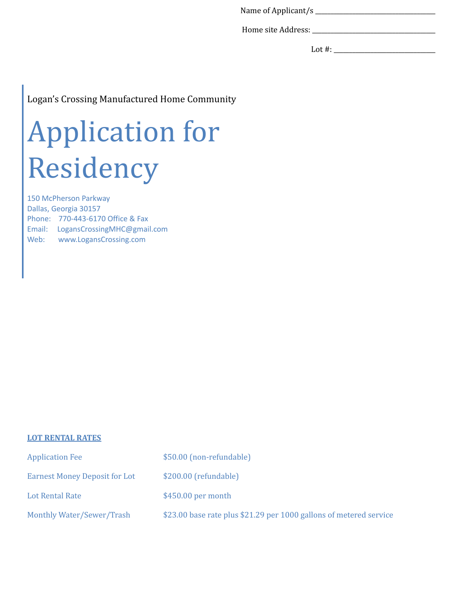Name of Applicant/s \_\_\_\_\_\_\_\_\_\_\_\_\_\_\_\_\_\_\_\_\_\_\_\_\_\_\_\_\_\_\_\_\_\_\_\_\_\_\_

Home site Address: \_\_\_\_\_\_\_\_\_\_\_\_\_\_\_\_\_\_\_\_\_\_\_\_\_\_\_\_\_\_\_\_\_\_\_\_\_\_\_\_

Lot #: \_\_\_\_\_\_\_\_\_\_\_\_\_\_\_\_\_\_\_\_\_\_\_\_\_\_\_\_\_\_\_\_\_

## Logan's Crossing Manufactured Home Community

# Application for Residency

150 McPherson Parkway Dallas, Georgia 30157 Phone: 770-443-6170 Office & Fax Email: LogansCrossingMHC@gmail.com Web: www.LogansCrossing.com

## **LOT RENTAL RATES**

| <b>Application Fee</b>               | \$50.00 (non-refundable)                                           |
|--------------------------------------|--------------------------------------------------------------------|
| <b>Earnest Money Deposit for Lot</b> | \$200.00 (refundable)                                              |
| Lot Rental Rate                      | $$450.00$ per month                                                |
| Monthly Water/Sewer/Trash            | \$23.00 base rate plus \$21.29 per 1000 gallons of metered service |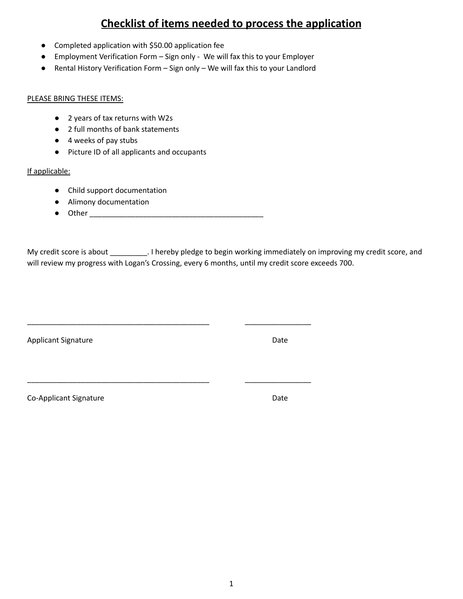# **Checklist of items needed to process the application**

- Completed application with \$50.00 application fee
- Employment Verification Form Sign only We will fax this to your Employer
- Rental History Verification Form Sign only We will fax this to your Landlord

#### PLEASE BRING THESE ITEMS:

- 2 years of tax returns with W2s
- 2 full months of bank statements
- 4 weeks of pay stubs
- Picture ID of all applicants and occupants

## If applicable:

- Child support documentation
- Alimony documentation
- Other \_\_\_\_\_\_\_\_\_\_\_\_\_\_\_\_\_\_\_\_\_\_\_\_\_\_\_\_\_\_\_\_\_\_\_\_\_\_\_\_\_\_

\_\_\_\_\_\_\_\_\_\_\_\_\_\_\_\_\_\_\_\_\_\_\_\_\_\_\_\_\_\_\_\_\_\_\_\_\_\_\_\_\_\_\_\_ \_\_\_\_\_\_\_\_\_\_\_\_\_\_\_\_

\_\_\_\_\_\_\_\_\_\_\_\_\_\_\_\_\_\_\_\_\_\_\_\_\_\_\_\_\_\_\_\_\_\_\_\_\_\_\_\_\_\_\_\_ \_\_\_\_\_\_\_\_\_\_\_\_\_\_\_\_

My credit score is about \_\_\_\_\_\_\_\_\_. I hereby pledge to begin working immediately on improving my credit score, and will review my progress with Logan's Crossing, every 6 months, until my credit score exceeds 700.

Applicant Signature **Date** 

Co-Applicant Signature Date Date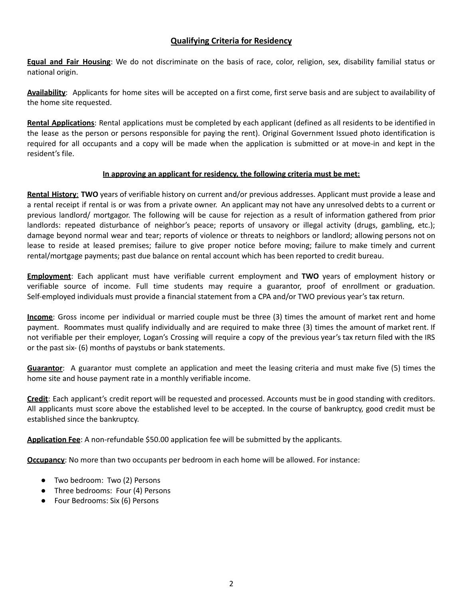## **Qualifying Criteria for Residency**

**Equal and Fair Housing**: We do not discriminate on the basis of race, color, religion, sex, disability familial status or national origin.

**Availability**: Applicants for home sites will be accepted on a first come, first serve basis and are subject to availability of the home site requested.

**Rental Applications**: Rental applications must be completed by each applicant (defined as all residents to be identified in the lease as the person or persons responsible for paying the rent). Original Government Issued photo identification is required for all occupants and a copy will be made when the application is submitted or at move-in and kept in the resident's file.

## **In approving an applicant for residency, the following criteria must be met:**

**Rental History**: **TWO** years of verifiable history on current and/or previous addresses. Applicant must provide a lease and a rental receipt if rental is or was from a private owner. An applicant may not have any unresolved debts to a current or previous landlord/ mortgagor. The following will be cause for rejection as a result of information gathered from prior landlords: repeated disturbance of neighbor's peace; reports of unsavory or illegal activity (drugs, gambling, etc.); damage beyond normal wear and tear; reports of violence or threats to neighbors or landlord; allowing persons not on lease to reside at leased premises; failure to give proper notice before moving; failure to make timely and current rental/mortgage payments; past due balance on rental account which has been reported to credit bureau.

**Employment**: Each applicant must have verifiable current employment and **TWO** years of employment history or verifiable source of income. Full time students may require a guarantor, proof of enrollment or graduation. Self-employed individuals must provide a financial statement from a CPA and/or TWO previous year's tax return.

**Income**: Gross income per individual or married couple must be three (3) times the amount of market rent and home payment. Roommates must qualify individually and are required to make three (3) times the amount of market rent. If not verifiable per their employer, Logan's Crossing will require a copy of the previous year's tax return filed with the IRS or the past six- (6) months of paystubs or bank statements.

**Guarantor**: A guarantor must complete an application and meet the leasing criteria and must make five (5) times the home site and house payment rate in a monthly verifiable income.

**Credit**: Each applicant's credit report will be requested and processed. Accounts must be in good standing with creditors. All applicants must score above the established level to be accepted. In the course of bankruptcy, good credit must be established since the bankruptcy.

**Application Fee**: A non-refundable \$50.00 application fee will be submitted by the applicants.

**Occupancy**: No more than two occupants per bedroom in each home will be allowed. For instance:

- Two bedroom: Two (2) Persons
- Three bedrooms: Four (4) Persons
- Four Bedrooms: Six (6) Persons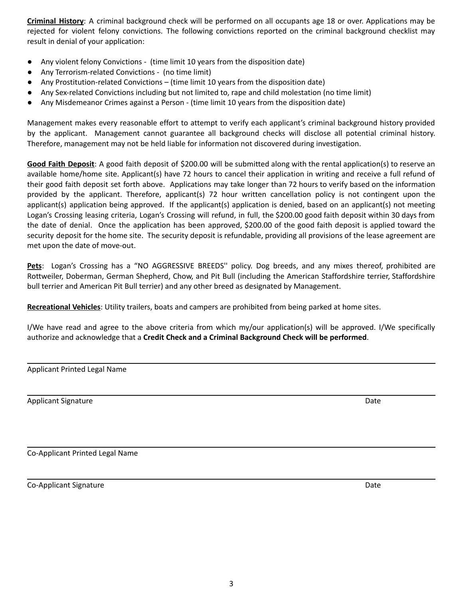**Criminal History**: A criminal background check will be performed on all occupants age 18 or over. Applications may be rejected for violent felony convictions. The following convictions reported on the criminal background checklist may result in denial of your application:

- Any violent felony Convictions (time limit 10 years from the disposition date)
- Any Terrorism-related Convictions (no time limit)
- Any Prostitution-related Convictions (time limit 10 years from the disposition date)
- Any Sex-related Convictions including but not limited to, rape and child molestation (no time limit)
- Any Misdemeanor Crimes against a Person (time limit 10 years from the disposition date)

Management makes every reasonable effort to attempt to verify each applicant's criminal background history provided by the applicant. Management cannot guarantee all background checks will disclose all potential criminal history. Therefore, management may not be held liable for information not discovered during investigation.

**Good Faith Deposit**: A good faith deposit of \$200.00 will be submitted along with the rental application(s) to reserve an available home/home site. Applicant(s) have 72 hours to cancel their application in writing and receive a full refund of their good faith deposit set forth above. Applications may take longer than 72 hours to verify based on the information provided by the applicant. Therefore, applicant(s) 72 hour written cancellation policy is not contingent upon the applicant(s) application being approved. If the applicant(s) application is denied, based on an applicant(s) not meeting Logan's Crossing leasing criteria, Logan's Crossing will refund, in full, the \$200.00 good faith deposit within 30 days from the date of denial. Once the application has been approved, \$200.00 of the good faith deposit is applied toward the security deposit for the home site. The security deposit is refundable, providing all provisions of the lease agreement are met upon the date of move-out.

**Pets**: Logan's Crossing has a "NO AGGRESSIVE BREEDS'' policy. Dog breeds, and any mixes thereof, prohibited are Rottweiler, Doberman, German Shepherd, Chow, and Pit Bull (including the American Staffordshire terrier, Staffordshire bull terrier and American Pit Bull terrier) and any other breed as designated by Management.

**Recreational Vehicles**: Utility trailers, boats and campers are prohibited from being parked at home sites.

I/We have read and agree to the above criteria from which my/our application(s) will be approved. I/We specifically authorize and acknowledge that a **Credit Check and a Criminal Background Check will be performed**.

Applicant Printed Legal Name

Applicant Signature Date Applicant Signature Date Applicant Signature Date Applicant Signature Date

Co-Applicant Printed Legal Name

Co-Applicant Signature Date Date of the Contract of the Contract of the Contract of the Date Date of the Date of the Date of the Date of the Date of the Date of the Date of the Date of the Date of the Date of the Date of t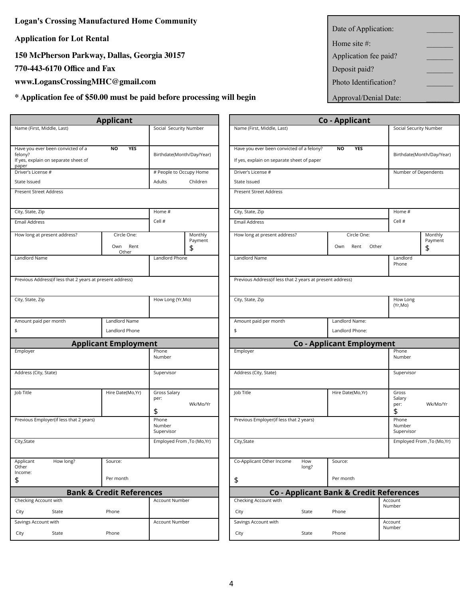**Logan's Crossing Manufactured Home Community**

**Application for Lot Rental** 

**150** McPherson Parkway, Dallas, Georgia 30157

**770-443-6170 Office and Fax** 

www.LogansCrossingMHC@gmail.com

 $*$  **Application fee of \$50.00 must be paid before processing will begin** 

|                                                           | <b>Applicant</b>                    |                         |                             |                                                           |              | <b>Co-Applicant</b>                    |                      |
|-----------------------------------------------------------|-------------------------------------|-------------------------|-----------------------------|-----------------------------------------------------------|--------------|----------------------------------------|----------------------|
| Name (First, Middle, Last)                                |                                     | Social Security Number  |                             | Name (First, Middle, Last)                                |              |                                        | Social Secu          |
|                                                           |                                     |                         |                             |                                                           |              |                                        |                      |
| Have you ever been convicted of a<br>felony?              | <b>NO</b><br><b>YES</b>             |                         |                             | Have you ever been convicted of a felony?                 |              | <b>YES</b><br>NO                       |                      |
| If yes, explain on separate sheet of<br>paper             |                                     |                         | Birthdate(Month/Day/Year)   | If yes, explain on separate sheet of paper                |              |                                        | Birthdate(M          |
| Driver's License #                                        |                                     | # People to Occupy Home |                             | Driver's License #                                        |              |                                        | Number of            |
| State Issued                                              |                                     | Adults                  | Children                    | State Issued                                              |              |                                        |                      |
| <b>Present Street Address</b>                             |                                     |                         |                             | Present Street Address                                    |              |                                        |                      |
|                                                           |                                     |                         |                             |                                                           |              |                                        |                      |
| City, State, Zip                                          |                                     | Home #                  |                             | City, State, Zip                                          |              |                                        | Home #               |
| Email Address                                             |                                     | Cell #                  |                             | <b>Email Address</b>                                      |              |                                        | Cell #               |
| How long at present address?                              | Circle One:                         |                         | Monthly                     | How long at present address?                              |              | Circle One:                            |                      |
|                                                           | Rent<br>Own                         |                         | Payment<br>\$               |                                                           |              | Own<br>Rent                            | Other                |
|                                                           | Other                               |                         |                             |                                                           |              |                                        |                      |
| Landlord Name                                             |                                     | Landlord Phone          |                             | Landlord Name                                             |              |                                        | Landlord<br>Phone    |
|                                                           |                                     |                         |                             |                                                           |              |                                        |                      |
| Previous Address(if less that 2 years at present address) |                                     |                         |                             | Previous Address(if less that 2 years at present address) |              |                                        |                      |
| City, State, Zip                                          |                                     | How Long (Yr, Mo)       |                             | City, State, Zip                                          |              |                                        | How Long             |
|                                                           |                                     |                         |                             |                                                           |              |                                        | (Yr,Mo)              |
| Amount paid per month                                     | Landlord Name                       |                         |                             | Amount paid per month                                     |              | Landlord Name:                         |                      |
| \$                                                        | Landlord Phone                      |                         |                             | \$                                                        |              | Landlord Phone:                        |                      |
|                                                           | <b>Applicant Employment</b>         |                         |                             |                                                           |              | <b>Co - Applicant Employment</b>       |                      |
| Employer                                                  |                                     | Phone                   |                             | Employer                                                  |              |                                        | Phone                |
|                                                           |                                     | Number                  |                             |                                                           |              |                                        | Number               |
| Address (City, State)                                     |                                     | Supervisor              |                             | Address (City, State)                                     |              |                                        | Supervisor           |
|                                                           |                                     |                         |                             |                                                           |              |                                        |                      |
| Job Title                                                 | Hire Date(Mo,Yr)                    | Gross Salary            |                             | Job Title                                                 |              | Hire Date(Mo, Yr)                      | Gross                |
|                                                           |                                     | per:                    | Wk/Mo/Yr                    |                                                           |              |                                        | Salary<br>per:       |
|                                                           |                                     | \$                      |                             |                                                           |              |                                        | \$                   |
| Previous Employer(if less that 2 years)                   |                                     | Phone                   |                             | Previous Employer(if less that 2 years)                   |              |                                        | Phone                |
|                                                           |                                     | Number<br>Supervisor    |                             |                                                           |              |                                        | Number<br>Supervisor |
| City, State                                               |                                     |                         | Employed From , To (Mo, Yr) | City, State                                               |              |                                        | Employed I           |
|                                                           |                                     |                         |                             |                                                           |              |                                        |                      |
| Applicant<br>How long?<br>Other                           | Source:                             |                         |                             | Co-Applicant Other Income                                 | How<br>long? | Source:                                |                      |
| Income:                                                   |                                     |                         |                             |                                                           |              |                                        |                      |
| \$                                                        | Per month                           |                         |                             | \$                                                        |              | Per month                              |                      |
|                                                           | <b>Bank &amp; Credit References</b> |                         |                             |                                                           |              | Co - Applicant Bank & Credit Reference |                      |
| Checking Account with                                     |                                     | <b>Account Number</b>   |                             | Checking Account with                                     |              |                                        | Account<br>Number    |
| City<br>State                                             | Phone                               |                         |                             | City                                                      | State        | Phone                                  |                      |
| Savings Account with                                      |                                     | Account Number          |                             | Savings Account with                                      |              |                                        | Account              |
| City<br>State                                             | Phone                               |                         |                             | City                                                      | State        | Phone                                  | Number               |

| Date of Application:  |  |
|-----------------------|--|
| Home site $#$ :       |  |
| Application fee paid? |  |
| Deposit paid?         |  |
| Photo Identification? |  |
| Approval/Denial Date: |  |

|                               |                                                                           | <b>Applicant</b>                    |                               |                           |                                                                                         |              | Co - Applicant                          |                               |                             |
|-------------------------------|---------------------------------------------------------------------------|-------------------------------------|-------------------------------|---------------------------|-----------------------------------------------------------------------------------------|--------------|-----------------------------------------|-------------------------------|-----------------------------|
| Name (First, Middle, Last)    |                                                                           |                                     | Social Security Number        |                           | Name (First, Middle, Last)                                                              |              |                                         | Social Security Number        |                             |
| felony?<br>paper              | Have you ever been convicted of a<br>If yes, explain on separate sheet of | <b>NO</b><br><b>YES</b>             |                               | Birthdate(Month/Day/Year) | Have you ever been convicted of a felony?<br>If yes, explain on separate sheet of paper |              | <b>NO</b><br><b>YES</b>                 |                               | Birthdate(Month/Day/Year)   |
| Driver's License #            |                                                                           |                                     | # People to Occupy Home       |                           | Driver's License #                                                                      |              |                                         | Number of Dependents          |                             |
| State Issued                  |                                                                           |                                     | Adults                        | Children                  | State Issued                                                                            |              |                                         |                               |                             |
| Present Street Address        |                                                                           |                                     |                               |                           | Present Street Address                                                                  |              |                                         |                               |                             |
| City, State, Zip              |                                                                           |                                     | Home #                        |                           | City, State, Zip                                                                        |              |                                         | Home #                        |                             |
| <b>Email Address</b>          |                                                                           |                                     | Cell #                        |                           | <b>Email Address</b>                                                                    |              |                                         | Cell #                        |                             |
|                               | How long at present address?                                              | Circle One:<br>Own Rent<br>Other    |                               | Monthly<br>Payment<br>\$  | How long at present address?                                                            |              | Circle One:<br>Own<br>Rent<br>Other     |                               | Monthly<br>Payment<br>\$    |
| Landlord Name                 |                                                                           |                                     | Landlord Phone                |                           | Landlord Name                                                                           |              |                                         | Landlord<br>Phone             |                             |
|                               | Previous Address(if less that 2 years at present address)                 |                                     |                               |                           | Previous Address(if less that 2 years at present address)                               |              |                                         |                               |                             |
| City, State, Zip              |                                                                           |                                     | How Long (Yr, Mo)             |                           | City, State, Zip                                                                        |              |                                         | How Long<br>(Yr,Mo)           |                             |
| Amount paid per month         |                                                                           | Landlord Name                       |                               |                           | Amount paid per month                                                                   |              | Landlord Name:                          |                               |                             |
| \$                            |                                                                           | Landlord Phone                      |                               |                           | \$                                                                                      |              | Landlord Phone:                         |                               |                             |
|                               |                                                                           | <b>Applicant Employment</b>         |                               |                           |                                                                                         |              | <b>Co - Applicant Employment</b>        |                               |                             |
| Employer                      |                                                                           |                                     | Phone<br>Number               |                           | Employer                                                                                |              |                                         | Phone<br>Number               |                             |
| Address (City, State)         |                                                                           |                                     | Supervisor                    |                           | Address (City, State)                                                                   |              |                                         | Supervisor                    |                             |
| Job Title                     |                                                                           | Hire Date(Mo, Yr)                   | Gross Salary<br>per:<br>\$    | Wk/Mo/Yr                  | Job Title                                                                               |              | Hire Date(Mo, Yr)                       | Gross<br>Salary<br>per:<br>\$ | Wk/Mo/Yr                    |
|                               | Previous Employer(if less that 2 years)                                   |                                     | Phone<br>Number<br>Supervisor |                           | Previous Employer(if less that 2 years)                                                 |              |                                         | Phone<br>Number<br>Supervisor |                             |
| City, State                   |                                                                           |                                     |                               | Employed From ,To (Mo,Yr) | City, State                                                                             |              |                                         |                               | Employed From , To (Mo, Yr) |
| Applicant<br>Other<br>Income: | How long?                                                                 | Source:                             |                               |                           | Co-Applicant Other Income                                                               | How<br>long? | Source:                                 |                               |                             |
| \$                            |                                                                           | Per month                           |                               |                           | \$                                                                                      |              | Per month                               |                               |                             |
|                               |                                                                           | <b>Bank &amp; Credit References</b> |                               |                           |                                                                                         |              | Co - Applicant Bank & Credit References |                               |                             |
| <b>Checking Account with</b>  |                                                                           |                                     | Account Number                |                           | Checking Account with                                                                   |              |                                         | Account<br>Number             |                             |
| City                          | State                                                                     | Phone                               |                               |                           | City                                                                                    | State        | Phone                                   |                               |                             |
| Savings Account with          |                                                                           |                                     | Account Number                |                           | Savings Account with                                                                    |              |                                         | Account<br>Number             |                             |
| City                          | State                                                                     | Phone                               |                               |                           | City                                                                                    | State        | Phone                                   |                               |                             |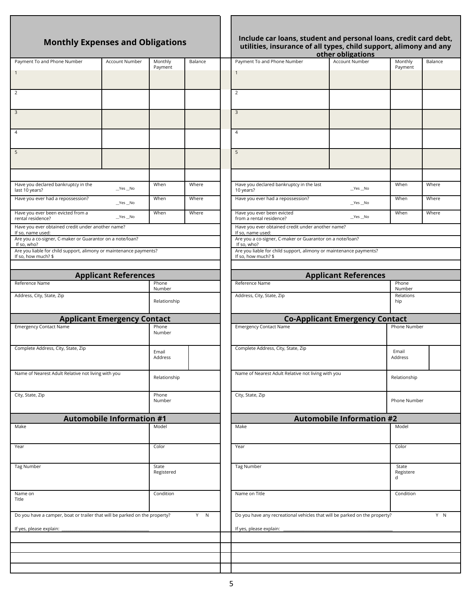| <b>Monthly Expenses and Obligations</b>                                                   |                                    |                     | Include car loans, student and personal loans, cred<br>utilities, insurance of all types, child support, alim<br>other obligations |                                                                                           |                                       |                 |
|-------------------------------------------------------------------------------------------|------------------------------------|---------------------|------------------------------------------------------------------------------------------------------------------------------------|-------------------------------------------------------------------------------------------|---------------------------------------|-----------------|
| Payment To and Phone Number                                                               | Account Number                     | Monthly             | Balance                                                                                                                            | Payment To and Phone Number                                                               | Account Number                        | Month           |
| $\mathbf{1}$                                                                              |                                    | Payment             |                                                                                                                                    | $\mathbf{1}$                                                                              |                                       | Payme           |
|                                                                                           |                                    |                     |                                                                                                                                    |                                                                                           |                                       |                 |
| 2                                                                                         |                                    |                     |                                                                                                                                    | $\overline{2}$                                                                            |                                       |                 |
|                                                                                           |                                    |                     |                                                                                                                                    |                                                                                           |                                       |                 |
| 3                                                                                         |                                    |                     |                                                                                                                                    | $\overline{3}$                                                                            |                                       |                 |
|                                                                                           |                                    |                     |                                                                                                                                    |                                                                                           |                                       |                 |
| 4                                                                                         |                                    |                     |                                                                                                                                    | $\overline{4}$                                                                            |                                       |                 |
|                                                                                           |                                    |                     |                                                                                                                                    |                                                                                           |                                       |                 |
| 5                                                                                         |                                    |                     |                                                                                                                                    | 5                                                                                         |                                       |                 |
|                                                                                           |                                    |                     |                                                                                                                                    |                                                                                           |                                       |                 |
|                                                                                           |                                    |                     |                                                                                                                                    |                                                                                           |                                       |                 |
| Have you declared bankruptcy in the<br>last 10 years?                                     | $Yes$ No                           | When                | Where                                                                                                                              | Have you declared bankruptcy in the last<br>10 years?                                     | $Yes$ No                              | When            |
| Have you ever had a repossession?                                                         | $Yes$ No                           | When                | Where                                                                                                                              | Have you ever had a repossession?                                                         | $Yes$ No                              | When            |
| Have you ever been evicted from a                                                         |                                    | When                | Where                                                                                                                              | Have you ever been evicted                                                                |                                       | When            |
| rental residence?                                                                         | $Yes$ No                           |                     |                                                                                                                                    | from a rental residence?                                                                  | $Yes$ No                              |                 |
| Have you ever obtained credit under another name?<br>If so, name used:                    |                                    |                     |                                                                                                                                    | Have you ever obtained credit under another name?<br>If so, name used:                    |                                       |                 |
| Are you a co-signer, C-maker or Guarantor on a note/loan?<br>If so, who?                  |                                    |                     |                                                                                                                                    | Are you a co-signer, C-maker or Guarantor on a note/loan?<br>If so, who?                  |                                       |                 |
| Are you liable for child support, alimony or maintenance payments?<br>If so, how much? \$ |                                    |                     |                                                                                                                                    | Are you liable for child support, alimony or maintenance payments?<br>If so, how much? \$ |                                       |                 |
|                                                                                           |                                    |                     |                                                                                                                                    |                                                                                           |                                       |                 |
|                                                                                           | <b>Applicant References</b>        |                     |                                                                                                                                    |                                                                                           | <b>Applicant References</b>           |                 |
| Reference Name                                                                            |                                    | Phone<br>Number     |                                                                                                                                    | Reference Name                                                                            |                                       | Phone<br>Numb   |
| Address, City, State, Zip                                                                 |                                    |                     |                                                                                                                                    | Address, City, State, Zip                                                                 |                                       | Relatio         |
|                                                                                           |                                    | Relationship        |                                                                                                                                    |                                                                                           |                                       | hip             |
|                                                                                           | <b>Applicant Emergency Contact</b> |                     |                                                                                                                                    |                                                                                           | <b>Co-Applicant Emergency Contact</b> |                 |
| <b>Emergency Contact Name</b>                                                             |                                    | Phone<br>Number     |                                                                                                                                    | <b>Emergency Contact Name</b>                                                             |                                       | Phone N         |
|                                                                                           |                                    |                     |                                                                                                                                    |                                                                                           |                                       |                 |
| Complete Address, City, State, Zip                                                        |                                    | Email               |                                                                                                                                    | Complete Address, City, State, Zip                                                        |                                       | Email           |
|                                                                                           |                                    | Address             |                                                                                                                                    |                                                                                           |                                       | Address         |
| Name of Nearest Adult Relative not living with you                                        |                                    | Relationship        |                                                                                                                                    | Name of Nearest Adult Relative not living with you                                        |                                       | Relation        |
|                                                                                           |                                    |                     |                                                                                                                                    |                                                                                           |                                       |                 |
| City, State, Zip                                                                          |                                    | Phone               |                                                                                                                                    | City, State, Zip                                                                          |                                       |                 |
|                                                                                           |                                    | Number              |                                                                                                                                    |                                                                                           |                                       | Phone N         |
|                                                                                           | <b>Automobile Information #1</b>   |                     |                                                                                                                                    |                                                                                           | <b>Automobile Information #2</b>      |                 |
| Make                                                                                      |                                    | Model               |                                                                                                                                    | Make                                                                                      |                                       | Model           |
|                                                                                           |                                    |                     |                                                                                                                                    |                                                                                           |                                       |                 |
| Year                                                                                      |                                    | Color               |                                                                                                                                    | Year                                                                                      |                                       | Color           |
|                                                                                           |                                    |                     |                                                                                                                                    |                                                                                           |                                       |                 |
| <b>Tag Number</b>                                                                         |                                    | State<br>Registered |                                                                                                                                    | <b>Tag Number</b>                                                                         |                                       | State<br>Regist |
|                                                                                           |                                    |                     |                                                                                                                                    |                                                                                           |                                       | d               |
| Name on                                                                                   |                                    | Condition           |                                                                                                                                    | Name on Title                                                                             |                                       | Condit          |
| Title                                                                                     |                                    |                     |                                                                                                                                    |                                                                                           |                                       |                 |
| Do you have a camper, boat or trailer that will be parked on the property?                |                                    |                     | Y N                                                                                                                                | Do you have any recreational vehicles that will be parked on the property?                |                                       |                 |
| If yes, please explain:                                                                   |                                    |                     |                                                                                                                                    | If yes, please explain:                                                                   |                                       |                 |
|                                                                                           |                                    |                     |                                                                                                                                    |                                                                                           |                                       |                 |
|                                                                                           |                                    |                     |                                                                                                                                    |                                                                                           |                                       |                 |
|                                                                                           |                                    |                     |                                                                                                                                    |                                                                                           |                                       |                 |
|                                                                                           |                                    |                     |                                                                                                                                    |                                                                                           |                                       |                 |

## **Include car loans, student and personal loans, credit card debt, utilities, insurance of all types, child support, alimony and any**

|                                                                                           |                                    |                 |         |                                                                                           | other obligations                     |                     |         |
|-------------------------------------------------------------------------------------------|------------------------------------|-----------------|---------|-------------------------------------------------------------------------------------------|---------------------------------------|---------------------|---------|
| Payment To and Phone Number                                                               | Account Number                     | Monthly         | Balance | Payment To and Phone Number                                                               | Account Number                        | Monthly             | Balance |
| 1                                                                                         |                                    | Payment         |         | $\mathbf{1}$                                                                              |                                       | Payment             |         |
|                                                                                           |                                    |                 |         |                                                                                           |                                       |                     |         |
| $\overline{2}$                                                                            |                                    |                 |         | $\overline{2}$                                                                            |                                       |                     |         |
|                                                                                           |                                    |                 |         |                                                                                           |                                       |                     |         |
| $\overline{\mathbf{3}}$                                                                   |                                    |                 |         | $\mathbf{3}$                                                                              |                                       |                     |         |
|                                                                                           |                                    |                 |         |                                                                                           |                                       |                     |         |
| 4                                                                                         |                                    |                 |         | 4                                                                                         |                                       |                     |         |
|                                                                                           |                                    |                 |         |                                                                                           |                                       |                     |         |
| 5                                                                                         |                                    |                 |         | 5                                                                                         |                                       |                     |         |
|                                                                                           |                                    |                 |         |                                                                                           |                                       |                     |         |
|                                                                                           |                                    |                 |         |                                                                                           |                                       |                     |         |
|                                                                                           |                                    |                 |         |                                                                                           |                                       |                     |         |
| Have you declared bankruptcy in the<br>last 10 years?                                     | $Yes$ No                           | When            | Where   | Have you declared bankruptcy in the last<br>10 years?                                     | $Yes$ No                              | When                | Where   |
| Have you ever had a repossession?                                                         |                                    | When            | Where   | Have you ever had a repossession?                                                         |                                       | When                | Where   |
|                                                                                           | $Yes$ No                           |                 |         |                                                                                           | $Yes$ No                              |                     |         |
| Have you ever been evicted from a<br>rental residence?                                    | $Yes$ No                           | When            | Where   | Have you ever been evicted<br>from a rental residence?                                    | $Yes$ No                              | When                | Where   |
| Have you ever obtained credit under another name?                                         |                                    |                 |         | Have you ever obtained credit under another name?                                         |                                       |                     |         |
| If so, name used:<br>Are you a co-signer, C-maker or Guarantor on a note/loan?            |                                    |                 |         | If so, name used:<br>Are you a co-signer, C-maker or Guarantor on a note/loan?            |                                       |                     |         |
| If so, who?                                                                               |                                    |                 |         | If so, who?                                                                               |                                       |                     |         |
| Are you liable for child support, alimony or maintenance payments?<br>If so, how much? \$ |                                    |                 |         | Are you liable for child support, alimony or maintenance payments?<br>If so, how much? \$ |                                       |                     |         |
|                                                                                           |                                    |                 |         |                                                                                           |                                       |                     |         |
|                                                                                           | <b>Applicant References</b>        |                 |         |                                                                                           | <b>Applicant References</b>           |                     |         |
| Reference Name                                                                            |                                    | Phone           |         | Reference Name                                                                            |                                       | Phone               |         |
| Address, City, State, Zip                                                                 |                                    | Number          |         | Address, City, State, Zip                                                                 |                                       | Number<br>Relations |         |
|                                                                                           |                                    | Relationship    |         |                                                                                           |                                       | hip                 |         |
|                                                                                           |                                    |                 |         |                                                                                           |                                       |                     |         |
| <b>Emergency Contact Name</b>                                                             | <b>Applicant Emergency Contact</b> | Phone           |         | <b>Emergency Contact Name</b>                                                             | <b>Co-Applicant Emergency Contact</b> | Phone Number        |         |
|                                                                                           |                                    | Number          |         |                                                                                           |                                       |                     |         |
|                                                                                           |                                    |                 |         |                                                                                           |                                       |                     |         |
| Complete Address, City, State, Zip                                                        |                                    | Email           |         | Complete Address, City, State, Zip                                                        |                                       | Email               |         |
|                                                                                           |                                    | Address         |         |                                                                                           |                                       | Address             |         |
| Name of Nearest Adult Relative not living with you                                        |                                    |                 |         | Name of Nearest Adult Relative not living with you                                        |                                       |                     |         |
|                                                                                           |                                    | Relationship    |         |                                                                                           |                                       | Relationship        |         |
|                                                                                           |                                    |                 |         |                                                                                           |                                       |                     |         |
| City, State, Zip                                                                          |                                    | Phone<br>Number |         | City, State, Zip                                                                          |                                       | Phone Number        |         |
|                                                                                           |                                    |                 |         |                                                                                           |                                       |                     |         |
|                                                                                           | <b>Automobile Information #1</b>   |                 |         |                                                                                           | <b>Automobile Information #2</b>      |                     |         |
| Make                                                                                      |                                    | Model           |         | Make                                                                                      |                                       | Model               |         |
|                                                                                           |                                    |                 |         |                                                                                           |                                       |                     |         |
| Year                                                                                      |                                    | Color           |         | Year                                                                                      |                                       | Color               |         |
|                                                                                           |                                    |                 |         |                                                                                           |                                       |                     |         |
| Tag Number                                                                                |                                    | State           |         | <b>Tag Number</b>                                                                         |                                       | State               |         |
|                                                                                           |                                    | Registered      |         |                                                                                           |                                       | Registere<br>d      |         |
|                                                                                           |                                    |                 |         |                                                                                           |                                       |                     |         |
| Name on<br>Title                                                                          |                                    | Condition       |         | Name on Title                                                                             |                                       | Condition           |         |
|                                                                                           |                                    |                 |         |                                                                                           |                                       |                     |         |
| Do you have a camper, boat or trailer that will be parked on the property?                |                                    |                 | Y N     | Do you have any recreational vehicles that will be parked on the property?                |                                       |                     | Y N     |
| If yes, please explain:                                                                   |                                    |                 |         | If yes, please explain:                                                                   |                                       |                     |         |
|                                                                                           |                                    |                 |         |                                                                                           |                                       |                     |         |
|                                                                                           |                                    |                 |         |                                                                                           |                                       |                     |         |
|                                                                                           |                                    |                 |         |                                                                                           |                                       |                     |         |
|                                                                                           |                                    |                 |         |                                                                                           |                                       |                     |         |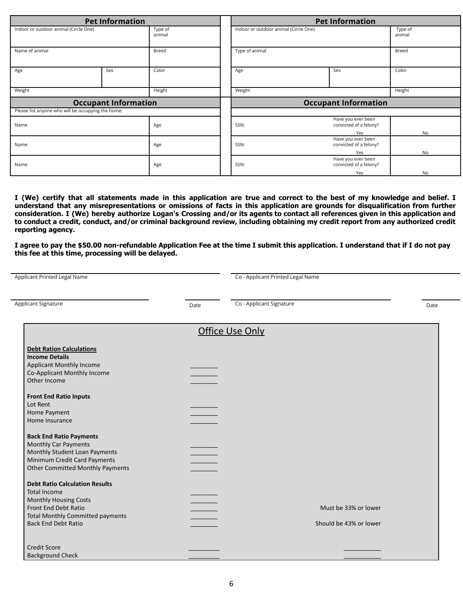| <b>Pet Information</b>                             |                             |                   | <b>Pet Information</b> |                                       |                                              |                   |  |
|----------------------------------------------------|-----------------------------|-------------------|------------------------|---------------------------------------|----------------------------------------------|-------------------|--|
| Indoor or outdoor animal (Circle One)              |                             | Type of<br>animal |                        | Indoor or outdoor animal (Circle One) |                                              | Type of<br>animal |  |
| Name of animal                                     |                             | Breed             |                        | Type of animal                        |                                              | Breed             |  |
| Age                                                | Sex                         | Color             |                        | Age                                   | Sex                                          | Color             |  |
| Weight                                             |                             | Height            |                        | Weight                                |                                              | Height            |  |
|                                                    |                             |                   |                        |                                       |                                              |                   |  |
|                                                    | <b>Occupant Information</b> |                   |                        |                                       | <b>Occupant Information</b>                  |                   |  |
| Please list anyone who will be occupying the home: |                             |                   |                        |                                       |                                              |                   |  |
| Name                                               |                             | Age               |                        | SSN:                                  | Have you ever been<br>convicted of a felony? |                   |  |
|                                                    |                             |                   |                        |                                       | Yes                                          | <b>No</b>         |  |
| Name                                               |                             | Age               |                        | SSN:                                  | Have you ever been<br>convicted of a felony? |                   |  |
|                                                    |                             |                   |                        |                                       | Yes                                          | <b>No</b>         |  |
| Name                                               |                             | Age               |                        | SSN:                                  | Have you ever been<br>convicted of a felony? |                   |  |

I (We) certify that all statements made in this application are true and correct to the best of my knowledge and belief. I understand that any misrepresentations or omissions of facts in this application are grounds for disqualification from further consideration. I (We) hereby authorize Logan's Crossing and/or its agents to contact all references given in this application and to conduct a credit, conduct, and/or criminal background review, including obtaining my credit report from any authorized credit **reporting agency.**

**I agree to pay the \$50.00 non-refundable Application Fee at the time I submit this application. I understand that if I do not pay this fee at this time, processing will be delayed.**

| <b>Applicant Printed Legal Name</b>                                                                                                                                                           |      | Co - Applicant Printed Legal Name              |      |
|-----------------------------------------------------------------------------------------------------------------------------------------------------------------------------------------------|------|------------------------------------------------|------|
| Applicant Signature                                                                                                                                                                           | Date | Co - Applicant Signature                       | Date |
|                                                                                                                                                                                               |      | <b>Office Use Only</b>                         |      |
| <b>Debt Ration Calculations</b><br><b>Income Details</b><br>Applicant Monthly Income<br>Co-Applicant Monthly Income<br>Other Income                                                           |      |                                                |      |
| <b>Front End Ratio Inputs</b><br>Lot Rent<br>Home Payment<br>Home Insurance                                                                                                                   |      |                                                |      |
| <b>Back End Ratio Payments</b><br>Monthly Car Payments<br>Monthly Student Loan Payments<br>Minimum Credit Card Payments<br><b>Other Committed Monthly Payments</b>                            |      |                                                |      |
| <b>Debt Ratio Calculation Results</b><br><b>Total Income</b><br><b>Monthly Housing Costs</b><br>Front End Debt Ratio<br><b>Total Monthly Committed payments</b><br><b>Back End Debt Ratio</b> |      | Must be 33% or lower<br>Should be 43% or lower |      |
| <b>Credit Score</b><br><b>Background Check</b>                                                                                                                                                |      |                                                |      |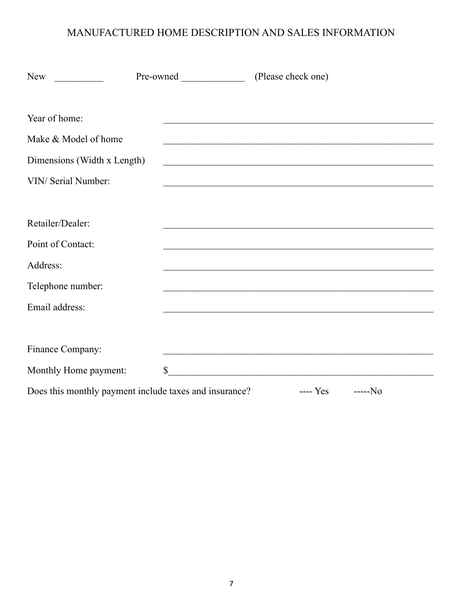# MANUFACTURED HOME DESCRIPTION AND SALES INFORMATION

| New                                                                                                 | Pre-owned    | (Please check one)                                                                                                                                                                                                            |  |
|-----------------------------------------------------------------------------------------------------|--------------|-------------------------------------------------------------------------------------------------------------------------------------------------------------------------------------------------------------------------------|--|
| Year of home:<br>Make & Model of home<br>Dimensions (Width x Length)<br>VIN/ Serial Number:         |              | <u> 1989 - Johann Barbara, martxa alemaniar amerikan basar da da a shekara a shekara a shekara a shekara a shekar</u>                                                                                                         |  |
| Retailer/Dealer:<br>Point of Contact:<br>Address:<br>Telephone number:<br>Email address:            |              | the control of the control of the control of the control of the control of the control of the control of the control of the control of the control of the control of the control of the control of the control of the control |  |
| Finance Company:<br>Monthly Home payment:<br>Does this monthly payment include taxes and insurance? | $\mathbb{S}$ | $--- Yes$<br>$---No$                                                                                                                                                                                                          |  |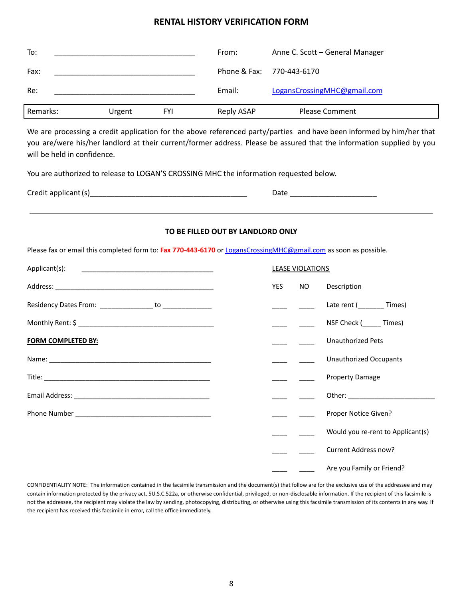## **RENTAL HISTORY VERIFICATION FORM**

| To:      |        |            | From:      | Anne C. Scott - General Manager |
|----------|--------|------------|------------|---------------------------------|
| Fax:     |        |            |            | Phone & Fax: 770-443-6170       |
| Re:      |        |            | Email:     | LogansCrossingMHC@gmail.com     |
| Remarks: | Urgent | <b>FYI</b> | Reply ASAP | <b>Please Comment</b>           |

We are processing a credit application for the above referenced party/parties and have been informed by him/her that you are/were his/her landlord at their current/former address. Please be assured that the information supplied by you will be held in confidence.

You are authorized to release to LOGAN'S CROSSING MHC the information requested below.

| Credit applicant (s) |  |  |
|----------------------|--|--|
|----------------------|--|--|

| Credit applicant<br>$\sim$ |  |
|----------------------------|--|
|                            |  |

#### **TO BE FILLED OUT BY LANDLORD ONLY**

Please fax or email this completed form to: **Fax 770-443-6170** or [LogansCrossingMHC@gmail.com](mailto:LogansCrossingMHC@gmail.com) as soon as possible.

| Applicant(s):                                            |     | <b>LEASE VIOLATIONS</b> |                                   |
|----------------------------------------------------------|-----|-------------------------|-----------------------------------|
|                                                          | YES | NO <sub>2</sub>         | Description                       |
| Residency Dates From: ________________ to ______________ |     |                         | Late rent (Times)                 |
|                                                          |     |                         | NSF Check (Casa Times)            |
| <b>FORM COMPLETED BY:</b>                                |     |                         | <b>Unauthorized Pets</b>          |
|                                                          |     |                         | <b>Unauthorized Occupants</b>     |
|                                                          |     |                         | <b>Property Damage</b>            |
|                                                          |     |                         |                                   |
|                                                          |     |                         | Proper Notice Given?              |
|                                                          |     |                         | Would you re-rent to Applicant(s) |
|                                                          |     |                         | Current Address now?              |
|                                                          |     |                         | Are you Family or Friend?         |

CONFIDENTIALITY NOTE: The information contained in the facsimile transmission and the document(s) that follow are for the exclusive use of the addressee and may contain information protected by the privacy act, 5U.S.C.522a, or otherwise confidential, privileged, or non-disclosable information. If the recipient of this facsimile is not the addressee, the recipient may violate the law by sending, photocopying, distributing, or otherwise using this facsimile transmission of its contents in any way. If the recipient has received this facsimile in error, call the office immediately.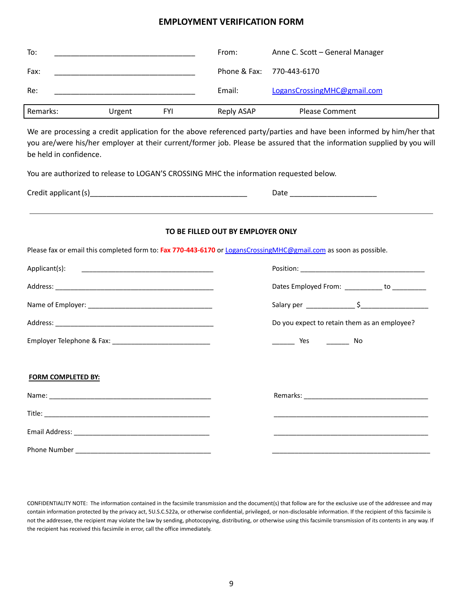## **EMPLOYMENT VERIFICATION FORM**

| To:      |        |            | From:                     | Anne C. Scott - General Manager |
|----------|--------|------------|---------------------------|---------------------------------|
| Fax:     |        |            | Phone & Fax: 770-443-6170 |                                 |
| Re:      |        |            | Email:                    | LogansCrossingMHC@gmail.com     |
| Remarks: | Urgent | <b>FYI</b> | Reply ASAP                | <b>Please Comment</b>           |

We are processing a credit application for the above referenced party/parties and have been informed by him/her that you are/were his/her employer at their current/former job. Please be assured that the information supplied by you will be held in confidence.

You are authorized to release to LOGAN'S CROSSING MHC the information requested below.

| Credit applicant (s) |  |
|----------------------|--|
|----------------------|--|

#### **TO BE FILLED OUT BY EMPLOYER ONLY**

Please fax or email this completed form to: **Fax 770-443-6170** or [LogansCrossingMHC@gmail.com](mailto:LogansCrossingMHC@gmail.com) as soon as possible.

|                           | Dates Employed From: ___________ to __________ |
|---------------------------|------------------------------------------------|
|                           |                                                |
|                           | Do you expect to retain them as an employee?   |
|                           | No Nes No                                      |
|                           |                                                |
| <b>FORM COMPLETED BY:</b> |                                                |
|                           |                                                |
|                           |                                                |
|                           |                                                |
| Phone Number              |                                                |

CONFIDENTIALITY NOTE: The information contained in the facsimile transmission and the document(s) that follow are for the exclusive use of the addressee and may contain information protected by the privacy act, 5U.S.C.522a, or otherwise confidential, privileged, or non-disclosable information. If the recipient of this facsimile is not the addressee, the recipient may violate the law by sending, photocopying, distributing, or otherwise using this facsimile transmission of its contents in any way. If the recipient has received this facsimile in error, call the office immediately.